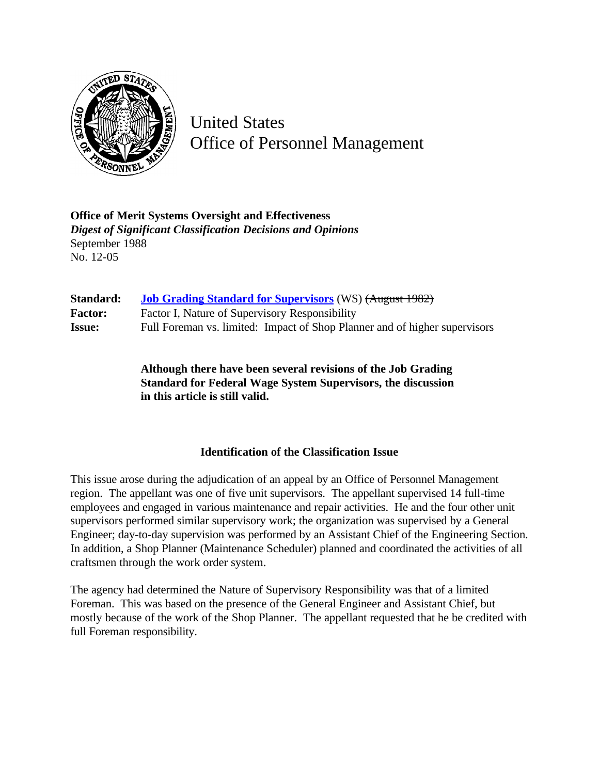

United States Office of Personnel Management

**Office of Merit Systems Oversight and Effectiveness** *Digest of Significant Classification Decisions and Opinions* September 1988 No. 12-05

| Standard:      | <b>Job Grading Standard for Supervisors</b> (WS) (August 1982)             |
|----------------|----------------------------------------------------------------------------|
| <b>Factor:</b> | Factor I, Nature of Supervisory Responsibility                             |
| <b>Issue:</b>  | Full Foreman vs. limited: Impact of Shop Planner and of higher supervisors |

**Although there have been several revisions of the Job Grading Standard for Federal Wage System Supervisors, the discussion in this article is still valid.**

## **Identification of the Classification Issue**

This issue arose during the adjudication of an appeal by an Office of Personnel Management region. The appellant was one of five unit supervisors. The appellant supervised 14 full-time employees and engaged in various maintenance and repair activities. He and the four other unit supervisors performed similar supervisory work; the organization was supervised by a General Engineer; day-to-day supervision was performed by an Assistant Chief of the Engineering Section. In addition, a Shop Planner (Maintenance Scheduler) planned and coordinated the activities of all craftsmen through the work order system.

The agency had determined the Nature of Supervisory Responsibility was that of a limited Foreman. This was based on the presence of the General Engineer and Assistant Chief, but mostly because of the work of the Shop Planner. The appellant requested that he be credited with full Foreman responsibility.